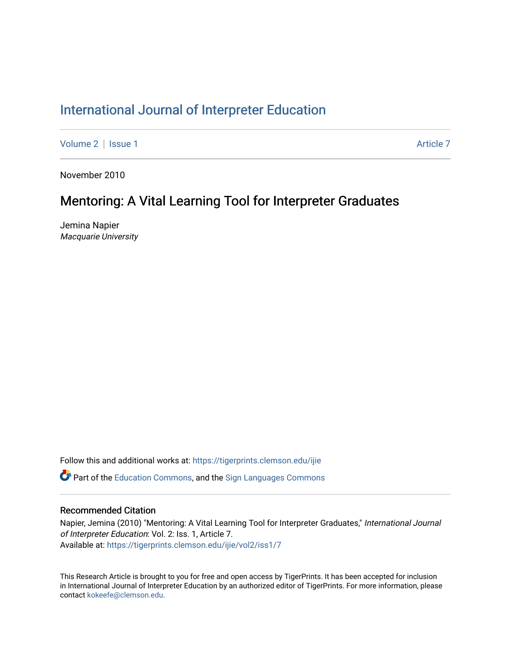# [International Journal of Interpreter Education](https://tigerprints.clemson.edu/ijie)

[Volume 2](https://tigerprints.clemson.edu/ijie/vol2) | [Issue 1](https://tigerprints.clemson.edu/ijie/vol2/iss1) Article 7

November 2010

# Mentoring: A Vital Learning Tool for Interpreter Graduates

Jemina Napier Macquarie University

Follow this and additional works at: [https://tigerprints.clemson.edu/ijie](https://tigerprints.clemson.edu/ijie?utm_source=tigerprints.clemson.edu%2Fijie%2Fvol2%2Fiss1%2F7&utm_medium=PDF&utm_campaign=PDFCoverPages) 

**P** Part of the [Education Commons](https://network.bepress.com/hgg/discipline/784?utm_source=tigerprints.clemson.edu%2Fijie%2Fvol2%2Fiss1%2F7&utm_medium=PDF&utm_campaign=PDFCoverPages), and the Sign Languages Commons

# Recommended Citation

Napier, Jemina (2010) "Mentoring: A Vital Learning Tool for Interpreter Graduates," International Journal of Interpreter Education: Vol. 2: Iss. 1, Article 7. Available at: [https://tigerprints.clemson.edu/ijie/vol2/iss1/7](https://tigerprints.clemson.edu/ijie/vol2/iss1/7?utm_source=tigerprints.clemson.edu%2Fijie%2Fvol2%2Fiss1%2F7&utm_medium=PDF&utm_campaign=PDFCoverPages)

This Research Article is brought to you for free and open access by TigerPrints. It has been accepted for inclusion in International Journal of Interpreter Education by an authorized editor of TigerPrints. For more information, please contact [kokeefe@clemson.edu.](mailto:kokeefe@clemson.edu)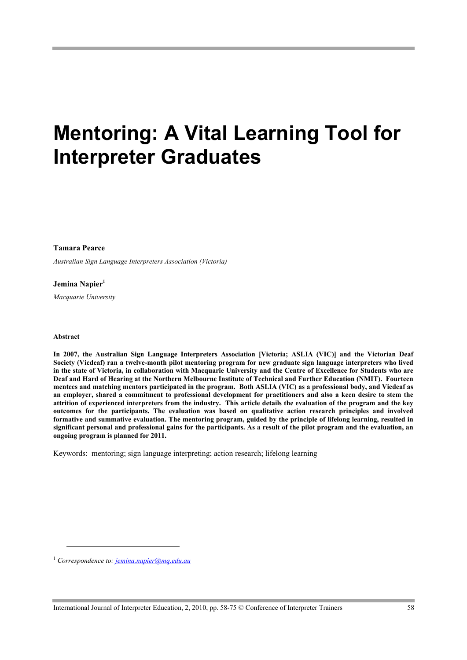# **Mentoring: A Vital Learning Tool for Interpreter Graduates**

**Tamara Pearce**

*Australian Sign Language Interpreters Association (Victoria)*

**Jemina Napier<sup>1</sup>**

*Macquarie University*

#### **Abstract**

l

**In 2007, the Australian Sign Language Interpreters Association [Victoria; ASLIA (VIC)] and the Victorian Deaf Society (Vicdeaf) ran a twelve-month pilot mentoring program for new graduate sign language interpreters who lived in the state of Victoria, in collaboration with Macquarie University and the Centre of Excellence for Students who are Deaf and Hard of Hearing at the Northern Melbourne Institute of Technical and Further Education (NMIT). Fourteen mentees and matching mentors participated in the program. Both ASLIA (VIC) as a professional body, and Vicdeaf as an employer, shared a commitment to professional development for practitioners and also a keen desire to stem the attrition of experienced interpreters from the industry. This article details the evaluation of the program and the key outcomes for the participants. The evaluation was based on qualitative action research principles and involved formative and summative evaluation. The mentoring program, guided by the principle of lifelong learning, resulted in significant personal and professional gains for the participants. As a result of the pilot program and the evaluation, an ongoing program is planned for 2011.**

Keywords: mentoring; sign language interpreting; action research; lifelong learning

1  *Correspondence to: jemina.napier@mq.edu.au*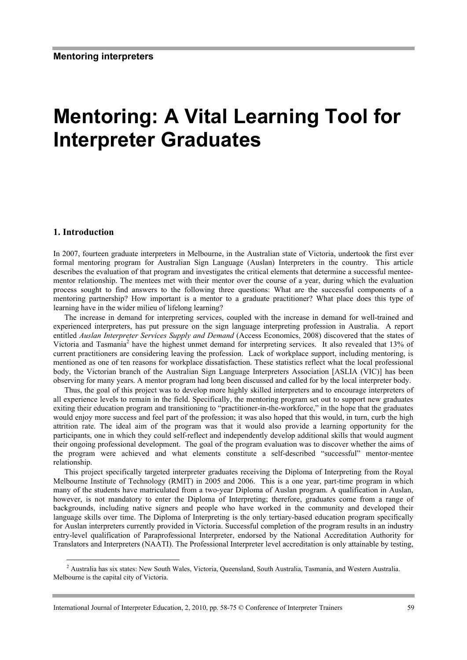# **Mentoring: A Vital Learning Tool for Interpreter Graduates**

#### **1. Introduction**

In 2007, fourteen graduate interpreters in Melbourne, in the Australian state of Victoria, undertook the first ever formal mentoring program for Australian Sign Language (Auslan) Interpreters in the country. This article describes the evaluation of that program and investigates the critical elements that determine a successful menteementor relationship. The mentees met with their mentor over the course of a year, during which the evaluation process sought to find answers to the following three questions: What are the successful components of a mentoring partnership? How important is a mentor to a graduate practitioner? What place does this type of learning have in the wider milieu of lifelong learning?

The increase in demand for interpreting services, coupled with the increase in demand for well-trained and experienced interpreters, has put pressure on the sign language interpreting profession in Australia. A report entitled *Auslan Interpreter Services Supply and Demand* (Access Economics, 2008) discovered that the states of Victoria and Tasmania<sup>2</sup> have the highest unmet demand for interpreting services. It also revealed that 13% of current practitioners are considering leaving the profession. Lack of workplace support, including mentoring, is mentioned as one of ten reasons for workplace dissatisfaction. These statistics reflect what the local professional body, the Victorian branch of the Australian Sign Language Interpreters Association [ASLIA (VIC)] has been observing for many years. A mentor program had long been discussed and called for by the local interpreter body.

Thus, the goal of this project was to develop more highly skilled interpreters and to encourage interpreters of all experience levels to remain in the field. Specifically, the mentoring program set out to support new graduates exiting their education program and transitioning to "practitioner-in-the-workforce," in the hope that the graduates would enjoy more success and feel part of the profession; it was also hoped that this would, in turn, curb the high attrition rate. The ideal aim of the program was that it would also provide a learning opportunity for the participants, one in which they could self-reflect and independently develop additional skills that would augment their ongoing professional development. The goal of the program evaluation was to discover whether the aims of the program were achieved and what elements constitute a self-described "successful" mentor-mentee relationship.

This project specifically targeted interpreter graduates receiving the Diploma of Interpreting from the Royal Melbourne Institute of Technology (RMIT) in 2005 and 2006. This is a one year, part-time program in which many of the students have matriculated from a two-year Diploma of Auslan program. A qualification in Auslan, however, is not mandatory to enter the Diploma of Interpreting; therefore, graduates come from a range of backgrounds, including native signers and people who have worked in the community and developed their language skills over time. The Diploma of Interpreting is the only tertiary-based education program specifically for Auslan interpreters currently provided in Victoria. Successful completion of the program results in an industry entry-level qualification of Paraprofessional Interpreter, endorsed by the National Accreditation Authority for Translators and Interpreters (NAATI). The Professional Interpreter level accreditation is only attainable by testing,

<sup>&</sup>lt;sup>2</sup> Australia has six states: New South Wales, Victoria, Queensland, South Australia, Tasmania, and Western Australia. Melbourne is the capital city of Victoria.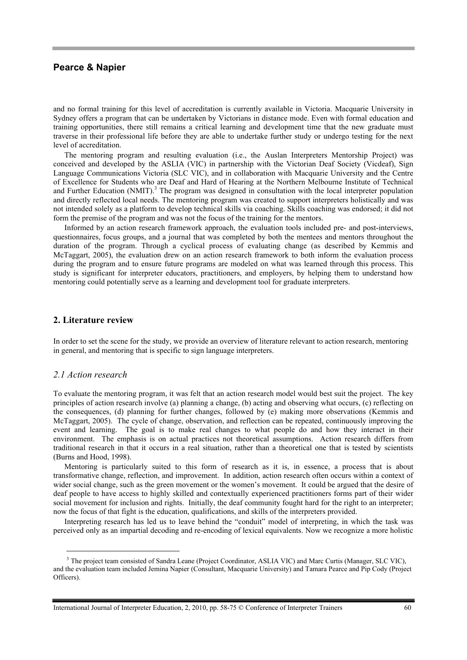and no formal training for this level of accreditation is currently available in Victoria. Macquarie University in Sydney offers a program that can be undertaken by Victorians in distance mode. Even with formal education and training opportunities, there still remains a critical learning and development time that the new graduate must traverse in their professional life before they are able to undertake further study or undergo testing for the next level of accreditation.

The mentoring program and resulting evaluation (i.e., the Auslan Interpreters Mentorship Project) was conceived and developed by the ASLIA (VIC) in partnership with the Victorian Deaf Society (Vicdeaf), Sign Language Communications Victoria (SLC VIC), and in collaboration with Macquarie University and the Centre of Excellence for Students who are Deaf and Hard of Hearing at the Northern Melbourne Institute of Technical and Further Education (NMIT).<sup>3</sup> The program was designed in consultation with the local interpreter population and directly reflected local needs. The mentoring program was created to support interpreters holistically and was not intended solely as a platform to develop technical skills via coaching. Skills coaching was endorsed; it did not form the premise of the program and was not the focus of the training for the mentors.

Informed by an action research framework approach, the evaluation tools included pre- and post-interviews, questionnaires, focus groups, and a journal that was completed by both the mentees and mentors throughout the duration of the program. Through a cyclical process of evaluating change (as described by Kemmis and McTaggart, 2005), the evaluation drew on an action research framework to both inform the evaluation process during the program and to ensure future programs are modeled on what was learned through this process. This study is significant for interpreter educators, practitioners, and employers, by helping them to understand how mentoring could potentially serve as a learning and development tool for graduate interpreters.

#### **2. Literature review**

In order to set the scene for the study, we provide an overview of literature relevant to action research, mentoring in general, and mentoring that is specific to sign language interpreters.

#### *2.1 Action research*

To evaluate the mentoring program, it was felt that an action research model would best suit the project. The key principles of action research involve (a) planning a change, (b) acting and observing what occurs, (c) reflecting on the consequences, (d) planning for further changes, followed by (e) making more observations (Kemmis and McTaggart, 2005). The cycle of change, observation, and reflection can be repeated, continuously improving the event and learning. The goal is to make real changes to what people do and how they interact in their environment. The emphasis is on actual practices not theoretical assumptions. Action research differs from traditional research in that it occurs in a real situation, rather than a theoretical one that is tested by scientists (Burns and Hood, 1998).

Mentoring is particularly suited to this form of research as it is, in essence, a process that is about transformative change, reflection, and improvement. In addition, action research often occurs within a context of wider social change, such as the green movement or the women's movement. It could be argued that the desire of deaf people to have access to highly skilled and contextually experienced practitioners forms part of their wider social movement for inclusion and rights. Initially, the deaf community fought hard for the right to an interpreter; now the focus of that fight is the education, qualifications, and skills of the interpreters provided.

Interpreting research has led us to leave behind the "conduit" model of interpreting, in which the task was perceived only as an impartial decoding and re-encoding of lexical equivalents. Now we recognize a more holistic

<sup>&</sup>lt;sup>3</sup> The project team consisted of Sandra Leane (Project Coordinator, ASLIA VIC) and Marc Curtis (Manager, SLC VIC), and the evaluation team included Jemina Napier (Consultant, Macquarie University) and Tamara Pearce and Pip Cody (Project Officers).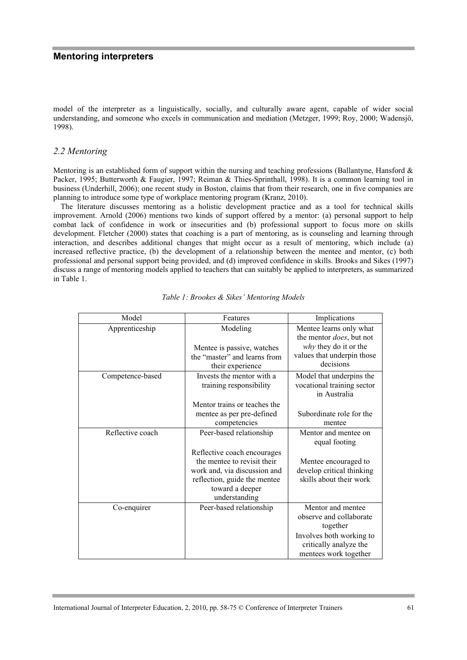model of the interpreter as a linguistically, socially, and culturally aware agent, capable of wider social understanding, and someone who excels in communication and mediation (Metzger, 1999; Roy, 2000; Wadensjö, 1998).

#### *2.2 Mentoring*

Mentoring is an established form of support within the nursing and teaching professions (Ballantyne, Hansford  $\&$ Packer, 1995; Butterworth & Faugier, 1997; Reiman & Thies-Sprinthall, 1998). It is a common learning tool in business (Underhill, 2006); one recent study in Boston, claims that from their research, one in five companies are planning to introduce some type of workplace mentoring program (Kranz, 2010).

The literature discusses mentoring as a holistic development practice and as a tool for technical skills improvement. Arnold (2006) mentions two kinds of support offered by a mentor: (a) personal support to help combat lack of confidence in work or insecurities and (b) professional support to focus more on skills development. Fletcher (2000) states that coaching is a part of mentoring, as is counseling and learning through interaction, and describes additional changes that might occur as a result of mentoring, which include (a) increased reflective practice, (b) the development of a relationship between the mentee and mentor, (c) both professional and personal support being provided, and (d) improved confidence in skills. Brooks and Sikes (1997) discuss a range of mentoring models applied to teachers that can suitably be applied to interpreters, as summarized in Table 1.

| Model            | Features                                                                                                                                                       | Implications                                                                                                                            |  |
|------------------|----------------------------------------------------------------------------------------------------------------------------------------------------------------|-----------------------------------------------------------------------------------------------------------------------------------------|--|
| Apprenticeship   | Modeling                                                                                                                                                       | Mentee learns only what<br>the mentor <i>does</i> , but not                                                                             |  |
|                  | Mentee is passive, watches                                                                                                                                     | why they do it or the                                                                                                                   |  |
|                  | the "master" and learns from<br>their experience                                                                                                               | values that underpin those<br>decisions                                                                                                 |  |
| Competence-based | Invests the mentor with a<br>training responsibility                                                                                                           | Model that underpins the<br>vocational training sector<br>in Australia                                                                  |  |
|                  | Mentor trains or teaches the                                                                                                                                   |                                                                                                                                         |  |
|                  | mentee as per pre-defined                                                                                                                                      | Subordinate role for the                                                                                                                |  |
|                  | competencies                                                                                                                                                   | mentee                                                                                                                                  |  |
| Reflective coach | Peer-based relationship                                                                                                                                        | Mentor and mentee on<br>equal footing                                                                                                   |  |
|                  | Reflective coach encourages<br>the mentee to revisit their<br>work and, via discussion and<br>reflection, guide the mentee<br>toward a deeper<br>understanding | Mentee encouraged to<br>develop critical thinking<br>skills about their work                                                            |  |
| Co-enquirer      | Peer-based relationship                                                                                                                                        | Mentor and mentee<br>observe and collaborate<br>together<br>Involves both working to<br>critically analyze the<br>mentees work together |  |

| Table 1: Brookes & Sikes' Mentoring Models |  |
|--------------------------------------------|--|
|--------------------------------------------|--|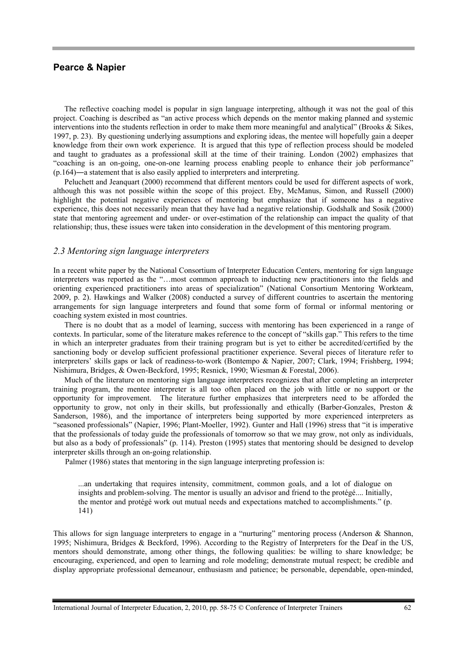The reflective coaching model is popular in sign language interpreting, although it was not the goal of this project. Coaching is described as "an active process which depends on the mentor making planned and systemic interventions into the students reflection in order to make them more meaningful and analytical" (Brooks & Sikes, 1997, p. 23). By questioning underlying assumptions and exploring ideas, the mentee will hopefully gain a deeper knowledge from their own work experience. It is argued that this type of reflection process should be modeled and taught to graduates as a professional skill at the time of their training. London (2002) emphasizes that "coaching is an on-going, one-on-one learning process enabling people to enhance their job performance" (p.164)―a statement that is also easily applied to interpreters and interpreting.

Peluchett and Jeanquart (2000) recommend that different mentors could be used for different aspects of work, although this was not possible within the scope of this project. Eby, McManus, Simon, and Russell (2000) highlight the potential negative experiences of mentoring but emphasize that if someone has a negative experience, this does not necessarily mean that they have had a negative relationship. Godshalk and Sosik (2000) state that mentoring agreement and under- or over-estimation of the relationship can impact the quality of that relationship; thus, these issues were taken into consideration in the development of this mentoring program.

### *2.3 Mentoring sign language interpreters*

In a recent white paper by the National Consortium of Interpreter Education Centers, mentoring for sign language interpreters was reported as the "…most common approach to inducting new practitioners into the fields and orienting experienced practitioners into areas of specialization" (National Consortium Mentoring Workteam, 2009, p. 2). Hawkings and Walker (2008) conducted a survey of different countries to ascertain the mentoring arrangements for sign language interpreters and found that some form of formal or informal mentoring or coaching system existed in most countries.

There is no doubt that as a model of learning, success with mentoring has been experienced in a range of contexts. In particular, some of the literature makes reference to the concept of "skills gap." This refers to the time in which an interpreter graduates from their training program but is yet to either be accredited/certified by the sanctioning body or develop sufficient professional practitioner experience. Several pieces of literature refer to interpreters' skills gaps or lack of readiness-to-work (Bontempo & Napier, 2007; Clark, 1994; Frishberg, 1994; Nishimura, Bridges, & Owen-Beckford, 1995; Resnick, 1990; Wiesman & Forestal, 2006).

Much of the literature on mentoring sign language interpreters recognizes that after completing an interpreter training program, the mentee interpreter is all too often placed on the job with little or no support or the opportunity for improvement. The literature further emphasizes that interpreters need to be afforded the opportunity to grow, not only in their skills, but professionally and ethically (Barber-Gonzales, Preston & Sanderson, 1986), and the importance of interpreters being supported by more experienced interpreters as "seasoned professionals" (Napier, 1996; Plant-Moeller, 1992). Gunter and Hall (1996) stress that "it is imperative that the professionals of today guide the professionals of tomorrow so that we may grow, not only as individuals, but also as a body of professionals" (p. 114). Preston (1995) states that mentoring should be designed to develop interpreter skills through an on-going relationship.

Palmer (1986) states that mentoring in the sign language interpreting profession is:

...an undertaking that requires intensity, commitment, common goals, and a lot of dialogue on insights and problem-solving. The mentor is usually an advisor and friend to the protégé.... Initially, the mentor and protégé work out mutual needs and expectations matched to accomplishments." (p. 141)

This allows for sign language interpreters to engage in a "nurturing" mentoring process (Anderson & Shannon, 1995; Nishimura, Bridges & Beckford, 1996). According to the Registry of Interpreters for the Deaf in the US, mentors should demonstrate, among other things, the following qualities: be willing to share knowledge; be encouraging, experienced, and open to learning and role modeling; demonstrate mutual respect; be credible and display appropriate professional demeanour, enthusiasm and patience; be personable, dependable, open-minded,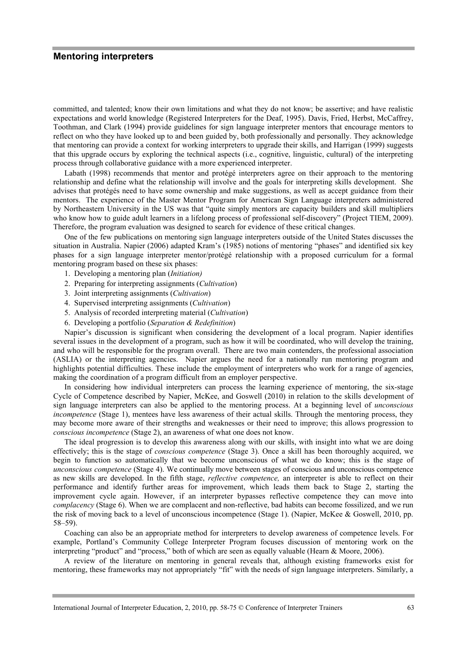committed, and talented; know their own limitations and what they do not know; be assertive; and have realistic expectations and world knowledge (Registered Interpreters for the Deaf, 1995). Davis, Fried, Herbst, McCaffrey, Toothman, and Clark (1994) provide guidelines for sign language interpreter mentors that encourage mentors to reflect on who they have looked up to and been guided by, both professionally and personally. They acknowledge that mentoring can provide a context for working interpreters to upgrade their skills, and Harrigan (1999) suggests that this upgrade occurs by exploring the technical aspects (i.e., cognitive, linguistic, cultural) of the interpreting process through collaborative guidance with a more experienced interpreter.

Labath (1998) recommends that mentor and protégé interpreters agree on their approach to the mentoring relationship and define what the relationship will involve and the goals for interpreting skills development. She advises that protégés need to have some ownership and make suggestions, as well as accept guidance from their mentors. The experience of the Master Mentor Program for American Sign Language interpreters administered by Northeastern University in the US was that "quite simply mentors are capacity builders and skill multipliers who know how to guide adult learners in a lifelong process of professional self-discovery" (Project TIEM, 2009). Therefore, the program evaluation was designed to search for evidence of these critical changes.

One of the few publications on mentoring sign language interpreters outside of the United States discusses the situation in Australia. Napier (2006) adapted Kram's (1985) notions of mentoring "phases" and identified six key phases for a sign language interpreter mentor/protégé relationship with a proposed curriculum for a formal mentoring program based on these six phases:

- 1. Developing a mentoring plan (*Initiation)*
- 2. Preparing for interpreting assignments (*Cultivation*)
- 3. Joint interpreting assignments (*Cultivation*)
- 4. Supervised interpreting assignments (*Cultivation*)
- 5. Analysis of recorded interpreting material (*Cultivation*)
- 6. Developing a portfolio (*Separation & Redefinition*)

Napier's discussion is significant when considering the development of a local program. Napier identifies several issues in the development of a program, such as how it will be coordinated, who will develop the training, and who will be responsible for the program overall. There are two main contenders, the professional association (ASLIA) or the interpreting agencies. Napier argues the need for a nationally run mentoring program and highlights potential difficulties. These include the employment of interpreters who work for a range of agencies, making the coordination of a program difficult from an employer perspective.

In considering how individual interpreters can process the learning experience of mentoring, the six-stage Cycle of Competence described by Napier, McKee, and Goswell (2010) in relation to the skills development of sign language interpreters can also be applied to the mentoring process. At a beginning level of *unconscious incompetence* (Stage 1), mentees have less awareness of their actual skills. Through the mentoring process, they may become more aware of their strengths and weaknesses or their need to improve; this allows progression to *conscious incompetence* (Stage 2), an awareness of what one does not know.

The ideal progression is to develop this awareness along with our skills, with insight into what we are doing effectively; this is the stage of *conscious competence* (Stage 3). Once a skill has been thoroughly acquired, we begin to function so automatically that we become unconscious of what we do know; this is the stage of *unconscious competence* (Stage 4). We continually move between stages of conscious and unconscious competence as new skills are developed. In the fifth stage, *reflective competence,* an interpreter is able to reflect on their performance and identify further areas for improvement, which leads them back to Stage 2, starting the improvement cycle again. However, if an interpreter bypasses reflective competence they can move into *complacency* (Stage 6). When we are complacent and non-reflective, bad habits can become fossilized, and we run the risk of moving back to a level of unconscious incompetence (Stage 1). (Napier, McKee & Goswell, 2010, pp. 58–59).

Coaching can also be an appropriate method for interpreters to develop awareness of competence levels. For example, Portland's Community College Interpreter Program focuses discussion of mentoring work on the interpreting "product" and "process," both of which are seen as equally valuable (Hearn & Moore, 2006).

A review of the literature on mentoring in general reveals that, although existing frameworks exist for mentoring, these frameworks may not appropriately "fit" with the needs of sign language interpreters. Similarly, a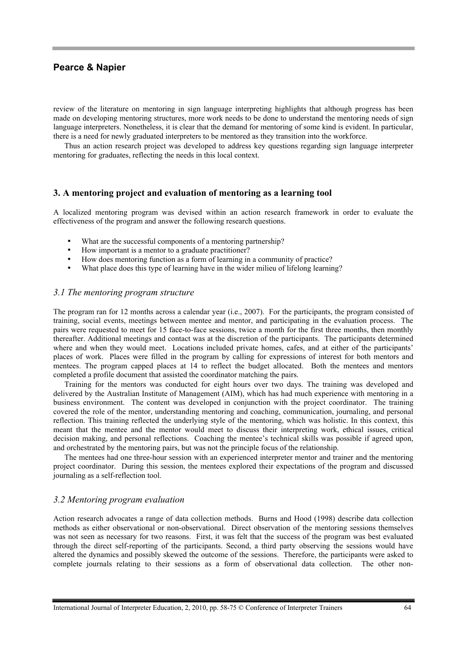review of the literature on mentoring in sign language interpreting highlights that although progress has been made on developing mentoring structures, more work needs to be done to understand the mentoring needs of sign language interpreters. Nonetheless, it is clear that the demand for mentoring of some kind is evident. In particular, there is a need for newly graduated interpreters to be mentored as they transition into the workforce.

Thus an action research project was developed to address key questions regarding sign language interpreter mentoring for graduates, reflecting the needs in this local context.

#### **3. A mentoring project and evaluation of mentoring as a learning tool**

A localized mentoring program was devised within an action research framework in order to evaluate the effectiveness of the program and answer the following research questions.

- What are the successful components of a mentoring partnership?
- How important is a mentor to a graduate practitioner?
- How does mentoring function as a form of learning in a community of practice?
- What place does this type of learning have in the wider milieu of lifelong learning?

#### *3.1 The mentoring program structure*

The program ran for 12 months across a calendar year (i.e., 2007). For the participants, the program consisted of training, social events, meetings between mentee and mentor, and participating in the evaluation process. The pairs were requested to meet for 15 face-to-face sessions, twice a month for the first three months, then monthly thereafter. Additional meetings and contact was at the discretion of the participants. The participants determined where and when they would meet. Locations included private homes, cafes, and at either of the participants' places of work. Places were filled in the program by calling for expressions of interest for both mentors and mentees. The program capped places at 14 to reflect the budget allocated. Both the mentees and mentors completed a profile document that assisted the coordinator matching the pairs.

Training for the mentors was conducted for eight hours over two days. The training was developed and delivered by the Australian Institute of Management (AIM), which has had much experience with mentoring in a business environment. The content was developed in conjunction with the project coordinator. The training covered the role of the mentor, understanding mentoring and coaching, communication, journaling, and personal reflection. This training reflected the underlying style of the mentoring, which was holistic. In this context, this meant that the mentee and the mentor would meet to discuss their interpreting work, ethical issues, critical decision making, and personal reflections. Coaching the mentee's technical skills was possible if agreed upon, and orchestrated by the mentoring pairs, but was not the principle focus of the relationship.

The mentees had one three-hour session with an experienced interpreter mentor and trainer and the mentoring project coordinator. During this session, the mentees explored their expectations of the program and discussed journaling as a self-reflection tool.

#### *3.2 Mentoring program evaluation*

Action research advocates a range of data collection methods. Burns and Hood (1998) describe data collection methods as either observational or non-observational. Direct observation of the mentoring sessions themselves was not seen as necessary for two reasons. First, it was felt that the success of the program was best evaluated through the direct self-reporting of the participants. Second, a third party observing the sessions would have altered the dynamics and possibly skewed the outcome of the sessions. Therefore, the participants were asked to complete journals relating to their sessions as a form of observational data collection. The other non-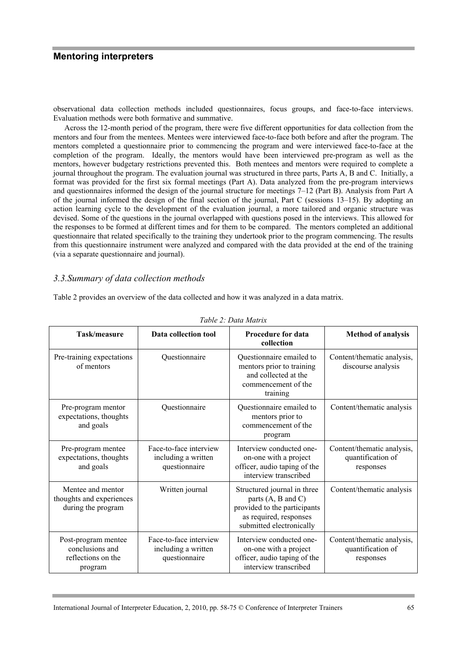observational data collection methods included questionnaires, focus groups, and face-to-face interviews. Evaluation methods were both formative and summative.

Across the 12-month period of the program, there were five different opportunities for data collection from the mentors and four from the mentees. Mentees were interviewed face-to-face both before and after the program. The mentors completed a questionnaire prior to commencing the program and were interviewed face-to-face at the completion of the program. Ideally, the mentors would have been interviewed pre-program as well as the mentors, however budgetary restrictions prevented this. Both mentees and mentors were required to complete a journal throughout the program. The evaluation journal was structured in three parts, Parts A, B and C. Initially, a format was provided for the first six formal meetings (Part A). Data analyzed from the pre-program interviews and questionnaires informed the design of the journal structure for meetings 7–12 (Part B). Analysis from Part A of the journal informed the design of the final section of the journal, Part C (sessions 13–15). By adopting an action learning cycle to the development of the evaluation journal, a more tailored and organic structure was devised. Some of the questions in the journal overlapped with questions posed in the interviews. This allowed for the responses to be formed at different times and for them to be compared. The mentors completed an additional questionnaire that related specifically to the training they undertook prior to the program commencing. The results from this questionnaire instrument were analyzed and compared with the data provided at the end of the training (via a separate questionnaire and journal).

#### *3.3.Summary of data collection methods*

Table 2 provides an overview of the data collected and how it was analyzed in a data matrix.

| Task/measure                                                            | Data collection tool                                           | <b>Procedure for data</b><br>collection                                                                                                            | <b>Method of analysis</b>                                    |
|-------------------------------------------------------------------------|----------------------------------------------------------------|----------------------------------------------------------------------------------------------------------------------------------------------------|--------------------------------------------------------------|
| Pre-training expectations<br>of mentors                                 | Questionnaire                                                  | Questionnaire emailed to<br>mentors prior to training<br>and collected at the<br>commencement of the<br>training                                   | Content/thematic analysis,<br>discourse analysis             |
| Pre-program mentor<br>expectations, thoughts<br>and goals               | Questionnaire                                                  | Questionnaire emailed to<br>mentors prior to<br>commencement of the<br>program                                                                     | Content/thematic analysis                                    |
| Pre-program mentee<br>expectations, thoughts<br>and goals               | Face-to-face interview<br>including a written<br>questionnaire | Interview conducted one-<br>on-one with a project<br>officer, audio taping of the<br>interview transcribed                                         | Content/thematic analysis,<br>quantification of<br>responses |
| Mentee and mentor<br>thoughts and experiences<br>during the program     | Written journal                                                | Structured journal in three<br>parts $(A, B \text{ and } C)$<br>provided to the participants<br>as required, responses<br>submitted electronically | Content/thematic analysis                                    |
| Post-program mentee<br>conclusions and<br>reflections on the<br>program | Face-to-face interview<br>including a written<br>questionnaire | Interview conducted one-<br>on-one with a project<br>officer, audio taping of the<br>interview transcribed                                         | Content/thematic analysis,<br>quantification of<br>responses |

*Table 2: Data Matrix*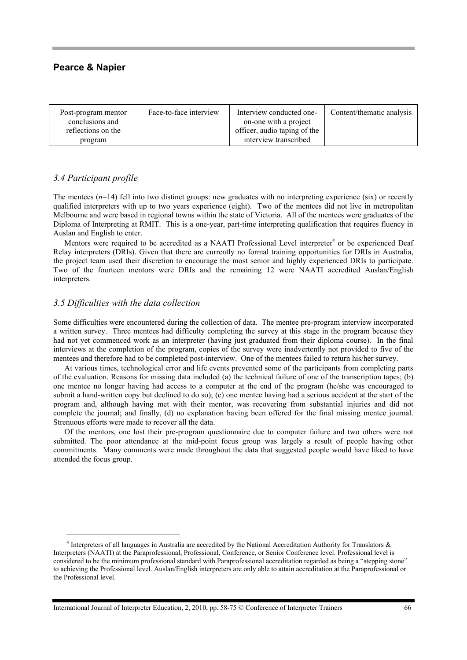| Post-program mentor<br>conclusions and<br>reflections on the | Face-to-face interview | Interview conducted one-<br>on-one with a project<br>officer, audio taping of the | Content/thematic analysis |
|--------------------------------------------------------------|------------------------|-----------------------------------------------------------------------------------|---------------------------|
| program                                                      |                        | interview transcribed                                                             |                           |

# *3.4 Participant profile*

The mentees ( $n=14$ ) fell into two distinct groups: new graduates with no interpreting experience (six) or recently qualified interpreters with up to two years experience (eight). Two of the mentees did not live in metropolitan Melbourne and were based in regional towns within the state of Victoria. All of the mentees were graduates of the Diploma of Interpreting at RMIT. This is a one-year, part-time interpreting qualification that requires fluency in Auslan and English to enter.

Mentors were required to be accredited as a NAATI Professional Level interpreter<sup>4</sup> or be experienced Deaf Relay interpreters (DRIs). Given that there are currently no formal training opportunities for DRIs in Australia, the project team used their discretion to encourage the most senior and highly experienced DRIs to participate. Two of the fourteen mentors were DRIs and the remaining 12 were NAATI accredited Auslan/English interpreters.

# *3.5 Difficulties with the data collection*

Some difficulties were encountered during the collection of data. The mentee pre-program interview incorporated a written survey. Three mentees had difficulty completing the survey at this stage in the program because they had not yet commenced work as an interpreter (having just graduated from their diploma course). In the final interviews at the completion of the program, copies of the survey were inadvertently not provided to five of the mentees and therefore had to be completed post-interview. One of the mentees failed to return his/her survey.

At various times, technological error and life events prevented some of the participants from completing parts of the evaluation. Reasons for missing data included (a) the technical failure of one of the transcription tapes; (b) one mentee no longer having had access to a computer at the end of the program (he/she was encouraged to submit a hand-written copy but declined to do so); (c) one mentee having had a serious accident at the start of the program and, although having met with their mentor, was recovering from substantial injuries and did not complete the journal; and finally, (d) no explanation having been offered for the final missing mentee journal. Strenuous efforts were made to recover all the data.

Of the mentors, one lost their pre-program questionnaire due to computer failure and two others were not submitted. The poor attendance at the mid-point focus group was largely a result of people having other commitments. Many comments were made throughout the data that suggested people would have liked to have attended the focus group.

 $4$  Interpreters of all languages in Australia are accredited by the National Accreditation Authority for Translators  $\&$ Interpreters (NAATI) at the Paraprofessional, Professional, Conference, or Senior Conference level. Professional level is considered to be the minimum professional standard with Paraprofessional accreditation regarded as being a "stepping stone" to achieving the Professional level. Auslan/English interpreters are only able to attain accreditation at the Paraprofessional or the Professional level.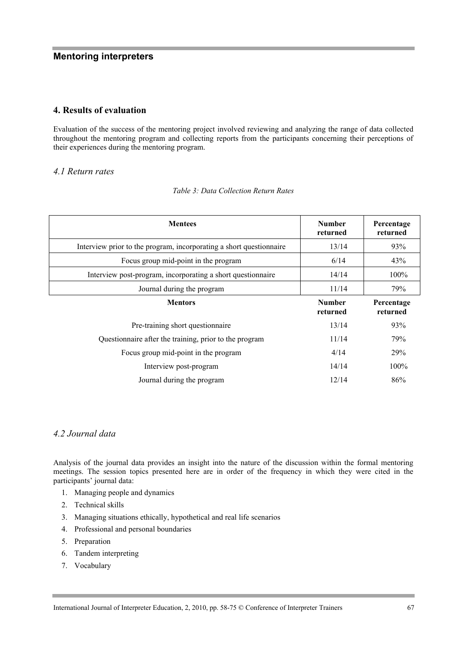# **4. Results of evaluation**

Evaluation of the success of the mentoring project involved reviewing and analyzing the range of data collected throughout the mentoring program and collecting reports from the participants concerning their perceptions of their experiences during the mentoring program.

# *4.1 Return rates*

| <b>Mentees</b>                                                      | <b>Number</b><br>returned | Percentage<br>returned |
|---------------------------------------------------------------------|---------------------------|------------------------|
| Interview prior to the program, incorporating a short questionnaire | 13/14                     | 93%                    |
| Focus group mid-point in the program                                | 6/14                      | 43%                    |
| Interview post-program, incorporating a short questionnaire         | 14/14                     | 100%                   |
| Journal during the program                                          | 11/14                     | 79%                    |
| <b>Mentors</b>                                                      | <b>Number</b><br>returned | Percentage<br>returned |
| Pre-training short questionnaire                                    | 13/14                     | 93%                    |
| Questionnaire after the training, prior to the program              | 11/14                     | 79%                    |
| Focus group mid-point in the program                                | 4/14                      | 29%                    |
| Interview post-program                                              | 14/14                     | 100%                   |
| Journal during the program                                          | 12/14                     | 86%                    |

*Table 3: Data Collection Return Rates*

# *4.2 Journal data*

Analysis of the journal data provides an insight into the nature of the discussion within the formal mentoring meetings. The session topics presented here are in order of the frequency in which they were cited in the participants' journal data:

- 1. Managing people and dynamics
- 2. Technical skills
- 3. Managing situations ethically, hypothetical and real life scenarios
- 4. Professional and personal boundaries
- 5. Preparation
- 6. Tandem interpreting
- 7. Vocabulary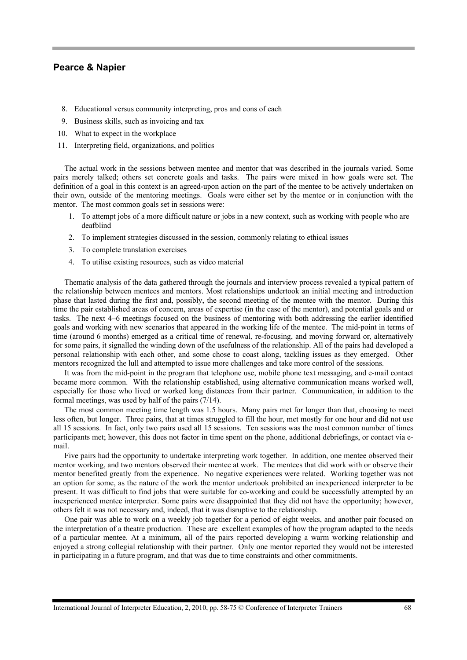- 8. Educational versus community interpreting, pros and cons of each
- 9. Business skills, such as invoicing and tax
- 10. What to expect in the workplace
- 11. Interpreting field, organizations, and politics

The actual work in the sessions between mentee and mentor that was described in the journals varied. Some pairs merely talked; others set concrete goals and tasks. The pairs were mixed in how goals were set. The definition of a goal in this context is an agreed-upon action on the part of the mentee to be actively undertaken on their own, outside of the mentoring meetings. Goals were either set by the mentee or in conjunction with the mentor. The most common goals set in sessions were:

- 1. To attempt jobs of a more difficult nature or jobs in a new context, such as working with people who are deafblind
- 2. To implement strategies discussed in the session, commonly relating to ethical issues
- 3. To complete translation exercises
- 4. To utilise existing resources, such as video material

Thematic analysis of the data gathered through the journals and interview process revealed a typical pattern of the relationship between mentees and mentors. Most relationships undertook an initial meeting and introduction phase that lasted during the first and, possibly, the second meeting of the mentee with the mentor. During this time the pair established areas of concern, areas of expertise (in the case of the mentor), and potential goals and or tasks. The next 4–6 meetings focused on the business of mentoring with both addressing the earlier identified goals and working with new scenarios that appeared in the working life of the mentee. The mid-point in terms of time (around 6 months) emerged as a critical time of renewal, re-focusing, and moving forward or, alternatively for some pairs, it signalled the winding down of the usefulness of the relationship. All of the pairs had developed a personal relationship with each other, and some chose to coast along, tackling issues as they emerged. Other mentors recognized the lull and attempted to issue more challenges and take more control of the sessions.

It was from the mid-point in the program that telephone use, mobile phone text messaging, and e-mail contact became more common. With the relationship established, using alternative communication means worked well, especially for those who lived or worked long distances from their partner. Communication, in addition to the formal meetings, was used by half of the pairs (7/14).

The most common meeting time length was 1.5 hours. Many pairs met for longer than that, choosing to meet less often, but longer. Three pairs, that at times struggled to fill the hour, met mostly for one hour and did not use all 15 sessions. In fact, only two pairs used all 15 sessions. Ten sessions was the most common number of times participants met; however, this does not factor in time spent on the phone, additional debriefings, or contact via email.

Five pairs had the opportunity to undertake interpreting work together. In addition, one mentee observed their mentor working, and two mentors observed their mentee at work. The mentees that did work with or observe their mentor benefited greatly from the experience. No negative experiences were related. Working together was not an option for some, as the nature of the work the mentor undertook prohibited an inexperienced interpreter to be present. It was difficult to find jobs that were suitable for co-working and could be successfully attempted by an inexperienced mentee interpreter. Some pairs were disappointed that they did not have the opportunity; however, others felt it was not necessary and, indeed, that it was disruptive to the relationship.

One pair was able to work on a weekly job together for a period of eight weeks, and another pair focused on the interpretation of a theatre production. These are excellent examples of how the program adapted to the needs of a particular mentee. At a minimum, all of the pairs reported developing a warm working relationship and enjoyed a strong collegial relationship with their partner. Only one mentor reported they would not be interested in participating in a future program, and that was due to time constraints and other commitments.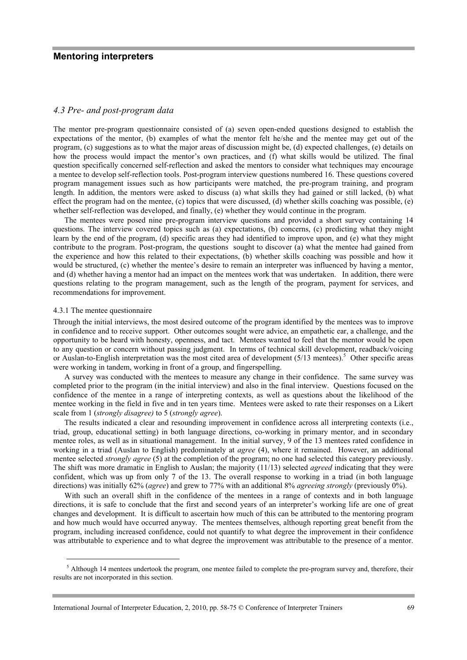# *4.3 Pre- and post-program data*

The mentor pre-program questionnaire consisted of (a) seven open-ended questions designed to establish the expectations of the mentor, (b) examples of what the mentor felt he/she and the mentee may get out of the program, (c) suggestions as to what the major areas of discussion might be, (d) expected challenges, (e) details on how the process would impact the mentor's own practices, and (f) what skills would be utilized. The final question specifically concerned self-reflection and asked the mentors to consider what techniques may encourage a mentee to develop self-reflection tools. Post-program interview questions numbered 16. These questions covered program management issues such as how participants were matched, the pre-program training, and program length. In addition, the mentors were asked to discuss (a) what skills they had gained or still lacked, (b) what effect the program had on the mentee, (c) topics that were discussed, (d) whether skills coaching was possible, (e) whether self-reflection was developed, and finally, (e) whether they would continue in the program.

The mentees were posed nine pre-program interview questions and provided a short survey containing 14 questions. The interview covered topics such as (a) expectations, (b) concerns, (c) predicting what they might learn by the end of the program, (d) specific areas they had identified to improve upon, and (e) what they might contribute to the program. Post-program, the questions sought to discover (a) what the mentee had gained from the experience and how this related to their expectations, (b) whether skills coaching was possible and how it would be structured, (c) whether the mentee's desire to remain an interpreter was influenced by having a mentor, and (d) whether having a mentor had an impact on the mentees work that was undertaken. In addition, there were questions relating to the program management, such as the length of the program, payment for services, and recommendations for improvement.

#### 4.3.1 The mentee questionnaire

Through the initial interviews, the most desired outcome of the program identified by the mentees was to improve in confidence and to receive support. Other outcomes sought were advice, an empathetic ear, a challenge, and the opportunity to be heard with honesty, openness, and tact. Mentees wanted to feel that the mentor would be open to any question or concern without passing judgment. In terms of technical skill development, readback/voicing or Auslan-to-English interpretation was the most cited area of development (5/13 mentees).<sup>5</sup> Other specific areas were working in tandem, working in front of a group, and fingerspelling.

A survey was conducted with the mentees to measure any change in their confidence. The same survey was completed prior to the program (in the initial interview) and also in the final interview. Questions focused on the confidence of the mentee in a range of interpreting contexts, as well as questions about the likelihood of the mentee working in the field in five and in ten years time. Mentees were asked to rate their responses on a Likert scale from 1 (*strongly disagree)* to 5 (*strongly agree*).

The results indicated a clear and resounding improvement in confidence across all interpreting contexts (i.e., triad, group, educational setting) in both language directions, co-working in primary mentor, and in secondary mentee roles, as well as in situational management. In the initial survey, 9 of the 13 mentees rated confidence in working in a triad (Auslan to English) predominately at *agree* (4), where it remained. However, an additional mentee selected *strongly agree* (5) at the completion of the program; no one had selected this category previously. The shift was more dramatic in English to Auslan; the majority (11/13) selected *agreed* indicating that they were confident, which was up from only 7 of the 13. The overall response to working in a triad (in both language directions) was initially 62% (*agree*) and grew to 77% with an additional 8% *agreeing strongly* (previously 0%).

With such an overall shift in the confidence of the mentees in a range of contexts and in both language directions, it is safe to conclude that the first and second years of an interpreter's working life are one of great changes and development. It is difficult to ascertain how much of this can be attributed to the mentoring program and how much would have occurred anyway. The mentees themselves, although reporting great benefit from the program, including increased confidence, could not quantify to what degree the improvement in their confidence was attributable to experience and to what degree the improvement was attributable to the presence of a mentor.

 $<sup>5</sup>$  Although 14 mentees undertook the program, one mentee failed to complete the pre-program survey and, therefore, their</sup> results are not incorporated in this section.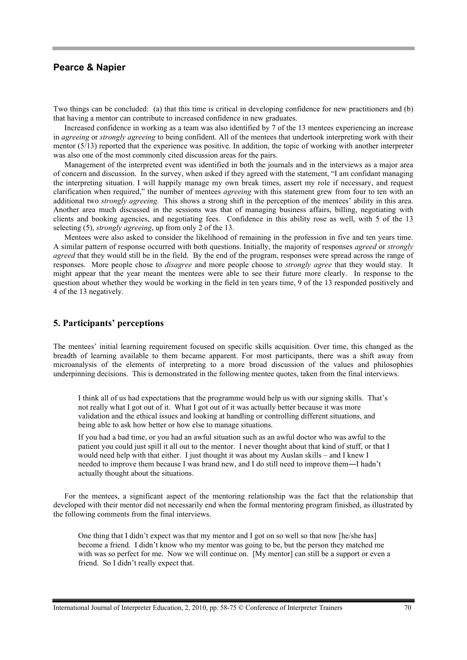Two things can be concluded: (a) that this time is critical in developing confidence for new practitioners and (b) that having a mentor can contribute to increased confidence in new graduates.

Increased confidence in working as a team was also identified by 7 of the 13 mentees experiencing an increase in *agreeing* or *strongly agreeing* to being confident. All of the mentees that undertook interpreting work with their mentor (5/13) reported that the experience was positive. In addition, the topic of working with another interpreter was also one of the most commonly cited discussion areas for the pairs.

Management of the interpreted event was identified in both the journals and in the interviews as a major area of concern and discussion. In the survey, when asked if they agreed with the statement, "I am confidant managing the interpreting situation. I will happily manage my own break times, assert my role if necessary, and request clarification when required," the number of mentees *agreeing* with this statement grew from four to ten with an additional two *strongly agreeing*. This shows a strong shift in the perception of the mentees' ability in this area. Another area much discussed in the sessions was that of managing business affairs, billing, negotiating with clients and booking agencies, and negotiating fees. Confidence in this ability rose as well, with 5 of the 13 selecting (5), *strongly agreeing*, up from only 2 of the 13.

Mentees were also asked to consider the likelihood of remaining in the profession in five and ten years time. A similar pattern of response occurred with both questions. Initially, the majority of responses *agreed* or *strongly agreed* that they would still be in the field. By the end of the program, responses were spread across the range of responses. More people chose to *disagree* and more people choose to *strongly agree* that they would stay. It might appear that the year meant the mentees were able to see their future more clearly. In response to the question about whether they would be working in the field in ten years time, 9 of the 13 responded positively and 4 of the 13 negatively.

#### **5. Participants' perceptions**

The mentees' initial learning requirement focused on specific skills acquisition. Over time, this changed as the breadth of learning available to them became apparent. For most participants, there was a shift away from microanalysis of the elements of interpreting to a more broad discussion of the values and philosophies underpinning decisions. This is demonstrated in the following mentee quotes, taken from the final interviews.

I think all of us had expectations that the programme would help us with our signing skills. That's not really what I got out of it. What I got out of it was actually better because it was more validation and the ethical issues and looking at handling or controlling different situations, and being able to ask how better or how else to manage situations.

If you had a bad time, or you had an awful situation such as an awful doctor who was awful to the patient you could just spill it all out to the mentor. I never thought about that kind of stuff, or that I would need help with that either. I just thought it was about my Auslan skills – and I knew I needed to improve them because I was brand new, and I do still need to improve them―I hadn't actually thought about the situations.

For the mentees, a significant aspect of the mentoring relationship was the fact that the relationship that developed with their mentor did not necessarily end when the formal mentoring program finished, as illustrated by the following comments from the final interviews.

One thing that I didn't expect was that my mentor and I got on so well so that now [he/she has] become a friend. I didn't know who my mentor was going to be, but the person they matched me with was so perfect for me. Now we will continue on. [My mentor] can still be a support or even a friend. So I didn't really expect that.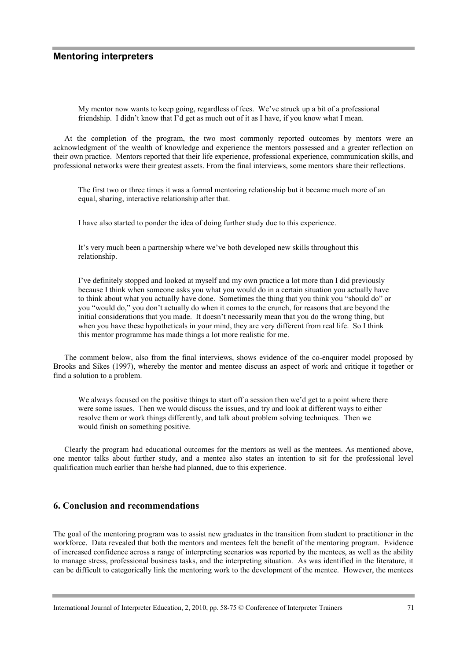My mentor now wants to keep going, regardless of fees. We've struck up a bit of a professional friendship. I didn't know that I'd get as much out of it as I have, if you know what I mean.

At the completion of the program, the two most commonly reported outcomes by mentors were an acknowledgment of the wealth of knowledge and experience the mentors possessed and a greater reflection on their own practice. Mentors reported that their life experience, professional experience, communication skills, and professional networks were their greatest assets. From the final interviews, some mentors share their reflections.

The first two or three times it was a formal mentoring relationship but it became much more of an equal, sharing, interactive relationship after that.

I have also started to ponder the idea of doing further study due to this experience.

It's very much been a partnership where we've both developed new skills throughout this relationship.

I've definitely stopped and looked at myself and my own practice a lot more than I did previously because I think when someone asks you what you would do in a certain situation you actually have to think about what you actually have done. Sometimes the thing that you think you "should do" or you "would do," you don't actually do when it comes to the crunch, for reasons that are beyond the initial considerations that you made. It doesn't necessarily mean that you do the wrong thing, but when you have these hypotheticals in your mind, they are very different from real life. So I think this mentor programme has made things a lot more realistic for me.

The comment below, also from the final interviews, shows evidence of the co-enquirer model proposed by Brooks and Sikes (1997), whereby the mentor and mentee discuss an aspect of work and critique it together or find a solution to a problem.

We always focused on the positive things to start off a session then we'd get to a point where there were some issues. Then we would discuss the issues, and try and look at different ways to either resolve them or work things differently, and talk about problem solving techniques. Then we would finish on something positive.

Clearly the program had educational outcomes for the mentors as well as the mentees. As mentioned above, one mentor talks about further study, and a mentee also states an intention to sit for the professional level qualification much earlier than he/she had planned, due to this experience.

#### **6. Conclusion and recommendations**

The goal of the mentoring program was to assist new graduates in the transition from student to practitioner in the workforce. Data revealed that both the mentors and mentees felt the benefit of the mentoring program. Evidence of increased confidence across a range of interpreting scenarios was reported by the mentees, as well as the ability to manage stress, professional business tasks, and the interpreting situation. As was identified in the literature, it can be difficult to categorically link the mentoring work to the development of the mentee. However, the mentees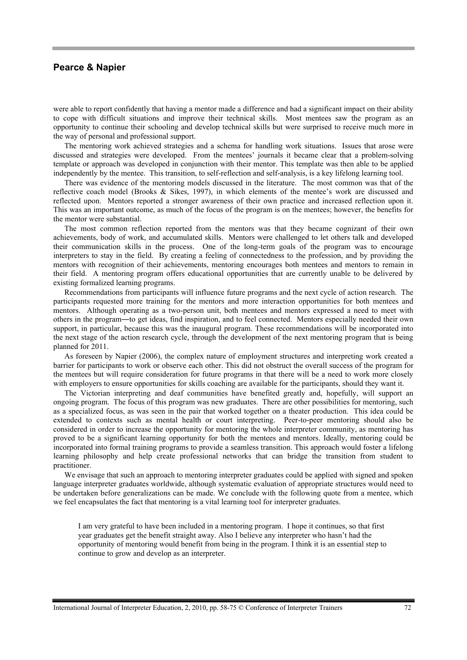were able to report confidently that having a mentor made a difference and had a significant impact on their ability to cope with difficult situations and improve their technical skills. Most mentees saw the program as an opportunity to continue their schooling and develop technical skills but were surprised to receive much more in the way of personal and professional support.

The mentoring work achieved strategies and a schema for handling work situations. Issues that arose were discussed and strategies were developed. From the mentees' journals it became clear that a problem-solving template or approach was developed in conjunction with their mentor. This template was then able to be applied independently by the mentee. This transition, to self-reflection and self-analysis, is a key lifelong learning tool.

There was evidence of the mentoring models discussed in the literature. The most common was that of the reflective coach model (Brooks & Sikes, 1997), in which elements of the mentee's work are discussed and reflected upon. Mentors reported a stronger awareness of their own practice and increased reflection upon it. This was an important outcome, as much of the focus of the program is on the mentees; however, the benefits for the mentor were substantial.

The most common reflection reported from the mentors was that they became cognizant of their own achievements, body of work, and accumulated skills. Mentors were challenged to let others talk and developed their communication skills in the process. One of the long-term goals of the program was to encourage interpreters to stay in the field. By creating a feeling of connectedness to the profession, and by providing the mentors with recognition of their achievements, mentoring encourages both mentees and mentors to remain in their field. A mentoring program offers educational opportunities that are currently unable to be delivered by existing formalized learning programs.

Recommendations from participants will influence future programs and the next cycle of action research. The participants requested more training for the mentors and more interaction opportunities for both mentees and mentors. Although operating as a two-person unit, both mentees and mentors expressed a need to meet with others in the program―to get ideas, find inspiration, and to feel connected. Mentors especially needed their own support, in particular, because this was the inaugural program. These recommendations will be incorporated into the next stage of the action research cycle, through the development of the next mentoring program that is being planned for 2011.

As foreseen by Napier (2006), the complex nature of employment structures and interpreting work created a barrier for participants to work or observe each other. This did not obstruct the overall success of the program for the mentees but will require consideration for future programs in that there will be a need to work more closely with employers to ensure opportunities for skills coaching are available for the participants, should they want it.

The Victorian interpreting and deaf communities have benefited greatly and, hopefully, will support an ongoing program. The focus of this program was new graduates. There are other possibilities for mentoring, such as a specialized focus, as was seen in the pair that worked together on a theater production. This idea could be extended to contexts such as mental health or court interpreting. Peer-to-peer mentoring should also be considered in order to increase the opportunity for mentoring the whole interpreter community, as mentoring has proved to be a significant learning opportunity for both the mentees and mentors. Ideally, mentoring could be incorporated into formal training programs to provide a seamless transition. This approach would foster a lifelong learning philosophy and help create professional networks that can bridge the transition from student to practitioner.

We envisage that such an approach to mentoring interpreter graduates could be applied with signed and spoken language interpreter graduates worldwide, although systematic evaluation of appropriate structures would need to be undertaken before generalizations can be made. We conclude with the following quote from a mentee, which we feel encapsulates the fact that mentoring is a vital learning tool for interpreter graduates.

I am very grateful to have been included in a mentoring program. I hope it continues, so that first year graduates get the benefit straight away. Also I believe any interpreter who hasn't had the opportunity of mentoring would benefit from being in the program. I think it is an essential step to continue to grow and develop as an interpreter.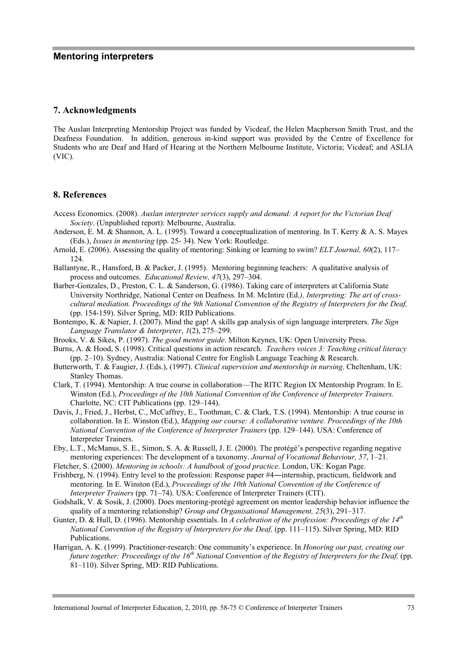#### **7. Acknowledgments**

The Auslan Interpreting Mentorship Project was funded by Vicdeaf, the Helen Macpherson Smith Trust, and the Deafness Foundation. In addition, generous in-kind support was provided by the Centre of Excellence for Students who are Deaf and Hard of Hearing at the Northern Melbourne Institute, Victoria; Vicdeaf; and ASLIA (VIC).

# **8. References**

- Access Economics. (2008). *Auslan interpreter services supply and demand: A report for the Victorian Deaf Society*. (Unpublished report): Melbourne, Australia.
- Anderson, E. M. & Shannon, A. L. (1995). Toward a conceptualization of mentoring. In T. Kerry & A. S. Mayes (Eds.), *Issues in mentoring* (pp. 25- 34). New York: Routledge.
- Arnold, E. (2006). Assessing the quality of mentoring: Sinking or learning to swim? *ELT Journal, 60*(2), 117– 124.
- Ballantyne, R., Hansford, B. & Packer, J. (1995). Mentoring beginning teachers: A qualitative analysis of process and outcomes. *Educational Review, 47*(3), 297–304.
- Barber-Gonzales, D., Preston, C. L. & Sanderson, G. (1986). Taking care of interpreters at California State University Northridge, National Center on Deafness. In M. McIntire (Ed*.), Interpreting: The art of crosscultural mediation. Proceedings of the 9th National Convention of the Registry of Interpreters for the Deaf,*  (pp. 154-159). Silver Spring, MD: RID Publications.
- Bontempo, K. & Napier, J. (2007). Mind the gap! A skills gap analysis of sign language interpreters. *The Sign Language Translator & Interpreter*, *1*(2), 275–299.
- Brooks, V. & Sikes, P. (1997). *The good mentor guide*. Milton Keynes, UK: Open University Press.
- Burns, A. & Hood, S. (1998). Critical questions in action research. *Teachers voices 3: Teaching critical literacy* (pp. 2–10). Sydney, Australia: National Centre for English Language Teaching & Research.
- Butterworth, T. & Faugier, J. (Eds.), (1997). *Clinical supervision and mentorship in nursing*. Cheltenham, UK: Stanley Thomas.
- Clark, T. (1994). Mentorship: A true course in collaboration—The RITC Region IX Mentorship Program. In E. Winston (Ed.), *Proceedings of the 10th National Convention of the Conference of Interpreter Trainers.*  Charlotte, NC: CIT Publications (pp. 129–144).
- Davis, J., Fried, J., Herbst, C., McCaffrey, E., Toothman, C. & Clark, T.S. (1994). Mentorship: A true course in collaboration. In E. Winston (Ed.), *Mapping our course: A collaborative venture. Proceedings of the 10th National Convention of the Conference of Interpreter Trainers* (pp. 129–144). USA: Conference of Interpreter Trainers.
- Eby, L.T., McManus, S. E., Simon, S. A. & Russell, J. E. (2000). The protégé's perspective regarding negative mentoring experiences: The development of a taxonomy. *Journal of Vocational Behaviour, 57*, 1–21.
- Fletcher, S. (2000). *Mentoring in schools: A handbook of good practice*. London, UK: Kogan Page.
- Frishberg, N. (1994). Entry level to the profession: Response paper #4―internship, practicum, fieldwork and mentoring. In E. Winston (Ed.), *Proceedings of the 10th National Convention of the Conference of Interpreter Trainers* (pp. 71–74). USA: Conference of Interpreter Trainers (CIT).
- Godshalk, V. & Sosik, J. (2000). Does mentoring-protégé agreement on mentor leadership behavior influence the quality of a mentoring relationship? *Group and Organisational Management, 25*(3), 291–317.
- Gunter, D. & Hull, D. (1996). Mentorship essentials. In *A celebration of the profession: Proceedings of the 14th National Convention of the Registry of Interpreters for the Deaf,* (pp. 111–115). Silver Spring, MD: RID Publications.
- Harrigan, A. K. (1999). Practitioner-research: One community's experience. In *Honoring our past, creating our future together: Proceedings of the 16th National Convention of the Registry of Interpreters for the Deaf,* (pp. 81–110). Silver Spring, MD: RID Publications.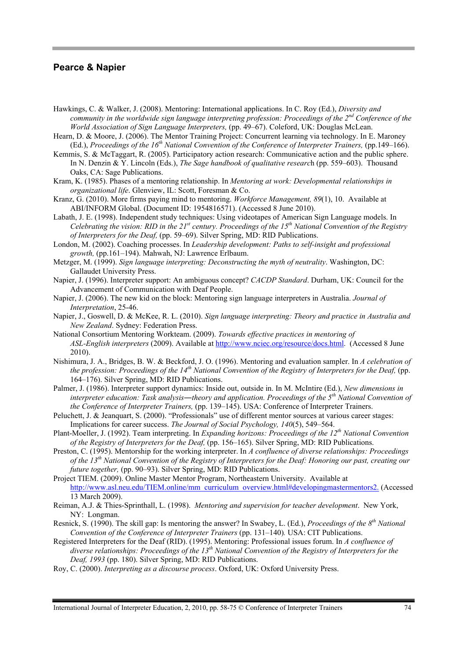- Hawkings, C. & Walker, J. (2008). Mentoring: International applications. In C. Roy (Ed.), *Diversity and community in the worldwide sign language interpreting profession: Proceedings of the 2nd Conference of the World Association of Sign Language Interpreters,* (pp. 49–67). Coleford, UK: Douglas McLean.
- Hearn, D. & Moore, J. (2006). The Mentor Training Project: Concurrent learning via technology. In E. Maroney (Ed.), *Proceedings of the 16th National Convention of the Conference of Interpreter Trainers,* (pp.149–166).
- Kemmis, S. & McTaggart, R. (2005). Participatory action research: Communicative action and the public sphere. In N. Denzin & Y. Lincoln (Eds.), *The Sage handbook of qualitative researc*h (pp. 559–603). Thousand Oaks, CA: Sage Publications.
- Kram, K. (1985). Phases of a mentoring relationship. In *Mentoring at work: Developmental relationships in organizational life*. Glenview, IL: Scott, Foresman & Co.
- Kranz, G. (2010). More firms paying mind to mentoring. *Workforce Management, 89*(1), 10. Available at ABI/INFORM Global. (Document ID: 1954816571). (Accessed 8 June 2010).
- Labath, J. E. (1998). Independent study techniques: Using videotapes of American Sign Language models. In *Celebrating the vision: RID in the 21st century. Proceedings of the 15th National Convention of the Registry of Interpreters for the Deaf,* (pp. 59–69). Silver Spring, MD: RID Publications.
- London, M. (2002). Coaching processes. In *Leadership development: Paths to self-insight and professional growth,* (pp.161–194). Mahwah, NJ: Lawrence Erlbaum.
- Metzger, M. (1999). *Sign language interpreting: Deconstructing the myth of neutrality*. Washington, DC: Gallaudet University Press.
- Napier, J. (1996). Interpreter support: An ambiguous concept? *CACDP Standard*. Durham, UK: Council for the Advancement of Communication with Deaf People.
- Napier, J. (2006). The new kid on the block: Mentoring sign language interpreters in Australia. *Journal of Interpretation*, 25-46.
- Napier, J., Goswell, D. & McKee, R. L. (2010). *Sign language interpreting: Theory and practice in Australia and New Zealand*. Sydney: Federation Press.
- National Consortium Mentoring Workteam. (2009). *Towards effective practices in mentoring of ASL-English interpreters* (2009). Available at http://www.nciec.org/resource/docs.html. (Accessed 8 June 2010).
- Nishimura, J. A., Bridges, B. W. & Beckford, J. O. (1996). Mentoring and evaluation sampler. In *A celebration of the profession: Proceedings of the 14th National Convention of the Registry of Interpreters for the Deaf,* (pp. 164–176). Silver Spring, MD: RID Publications.
- Palmer, J. (1986). Interpreter support dynamics: Inside out, outside in. In M. McIntire (Ed.), *New dimensions in interpreter education: Task analysis―theory and application. Proceedings of the 5th National Convention of the Conference of Interpreter Trainers,* (pp. 139–145). USA: Conference of Interpreter Trainers.
- Peluchett, J. & Jeanquart, S. (2000). "Professionals" use of different mentor sources at various career stages: Implications for career success. *The Journal of Social Psychology, 140*(5), 549–564.
- Plant-Moeller, J. (1992). Team interpreting. In *Expanding horizons: Proceedings of the 12th National Convention of the Registry of Interpreters for the Deaf,* (pp. 156–165). Silver Spring, MD: RID Publications.
- Preston, C. (1995). Mentorship for the working interpreter. In *A confluence of diverse relationships: Proceedings of the 13th National Convention of the Registry of Interpreters for the Deaf: Honoring our past, creating our future together,* (pp. 90–93). Silver Spring, MD: RID Publications.

Project TIEM. (2009). Online Master Mentor Program, Northeastern University. Available at http://www.asl.neu.edu/TIEM.online/mm\_curriculum\_overview.html#developingmastermentors2. (Accessed 13 March 2009).

- Reiman, A.J. & Thies-Sprinthall, L. (1998). *Mentoring and supervision for teacher development*. New York, NY: Longman.
- Resnick, S. (1990). The skill gap: Is mentoring the answer? In Swabey, L. (Ed.), *Proceedings of the 8th National Convention of the Conference of Interpreter Trainers (pp. 131–140).* USA: CIT Publications.
- Registered Interpreters for the Deaf (RID). (1995). Mentoring: Professional issues forum. In *A confluence of diverse relationships: Proceedings of the 13th National Convention of the Registry of Interpreters for the Deaf, 1993* (pp. 180). Silver Spring, MD: RID Publications.
- Roy, C. (2000). *Interpreting as a discourse process*. Oxford, UK: Oxford University Press.